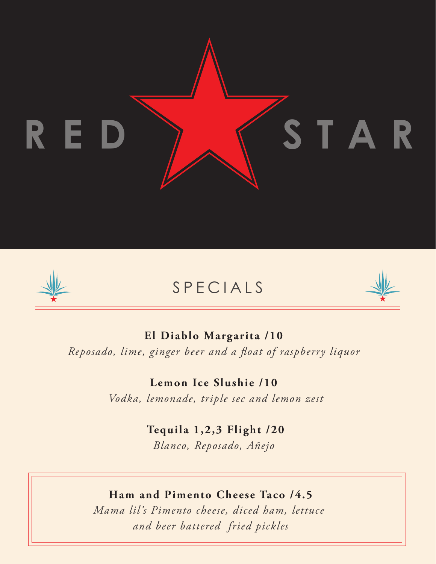



# SPECIALS



# **El Diablo Margarita /10**  *Reposado, lime, ginger beer and a float of raspberry liquor*

**Lemon Ice Slushie /10**  *Vodka, lemonade, triple sec and lemon zest*

**Tequila 1,2,3 Flight /20**

*Blanco, Reposado, Añejo* 

# **Ham and Pimento Cheese Taco /4.5**

*Mama lil's Pimento cheese, diced ham, lettuce and beer battered fried pickles*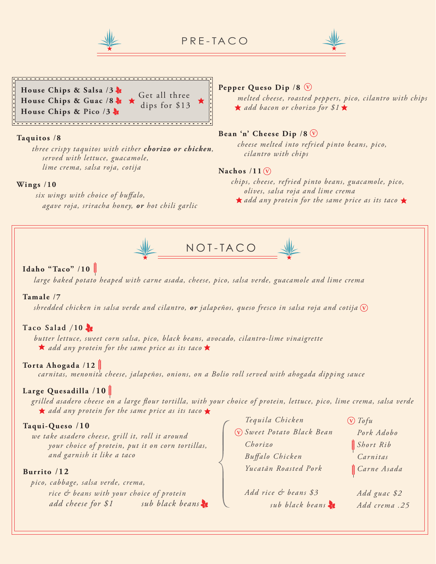

PRE-TACO





#### **Taquitos** /**8**

 *three crispy taquitos with either chorizo or chicken, served with lettuce, guacamole, lime crema, salsa roja, cotija*

#### **Wings** /**10**

six wings with choice of buffalo,  *agave roja, sriracha honey, or hot chili garlic*

#### **Pepper Queso Dip** /**8 <sup>V</sup>**

 *melted cheese, roasted peppers, pico, cilantro with chips add bacon or chorizo for \$1*

#### **V Bean 'n' Cheese Dip** /**8**

 *cheese melted into refried pinto beans, pico, cilantro with chips*

#### **V Nachos** /**11**

 *chips, cheese, refried pinto beans, guacamole, pico, olives, salsa roja and lime crema*  **★** add any protein for the same price as its taco ★



#### **Idaho "Taco"** /**10**

*large baked potato heaped with carne asada, cheese, pico, salsa verde, guacamole and lime crema*

#### **Tamale** /**7**

**V** *shredded chicken in salsa verde and cilantro, or jalapeños, queso fresco in salsa roja and cotija* 

#### **Taco Salad** /**10**

 *butter lettuce, sweet corn salsa, pico, black beans, avocado, cilantro-lime vinaigrette add any protein for the same price as its taco*

#### **Torta Ahogada** /**12**

 *carnitas, menonita cheese, jalapeños, onions, on a Bolio roll served with ahogada dipping sauce*

#### **Large Quesadilla** /**10**

*grilled asadero cheese on a large our tortilla, with your choice of protein, lettuce, pico, lime crema, salsa verde* **★** add any protein for the same price as its taco ★

#### **Taqui-Queso** /**10**

*we take asadero cheese, grill it, roll it around your choice of protein, put it on corn tortillas, and garnish it like a taco*

#### **Burrito** /**12**

*pico, cabbage, salsa verde, crema, rice & beans with your choice of protein add cheese for \$1 sub black beans* **V** *Sweet Potato Black Bean Tequila Chicken Chorizo Bualo Chicken Yucatãn Roasted Pork*

*Add rice & beans \$3 sub black beans* **V** *Tofu Pork Adobo Short Rib Carnitas Carne Asada*

*Add guac \$2 Add crema .25*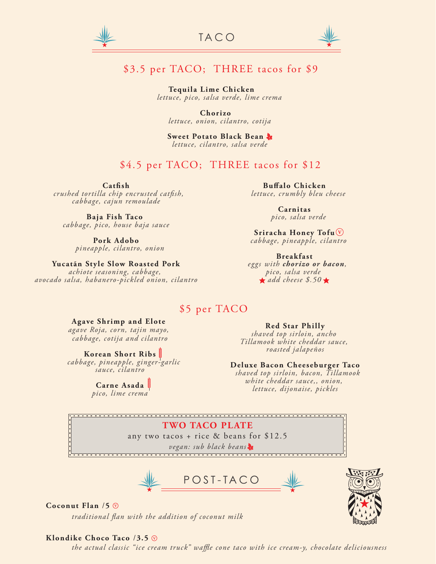



## \$3.5 per TACO; THREE tacos for \$9

**Tequila Lime Chicken**  *lettuce, pico, salsa verde, lime crema*

**Chorizo** *lettuce, onion, cilantro, cotija*

**Sweet Potato Black Bean** *lettuce, cilantro, salsa verde*

### \$4.5 per TACO; THREE tacos for \$12

**Catsh**

 $crashed$  tortilla chip encrusted catfish, *cabbage, cajun remoulade*

**Baja Fish Taco** *cabbage, pico, house baja sauce*

> **Pork Adobo** *pineapple, cilantro, onion*

#### **Yucatãn Style Slow Roasted Pork**

*achiote seasoning, cabbage, avocado salsa, habanero-pickled onion, cilantro*

**Buffalo Chicken**  *lettuce, crumbly bleu cheese*

> **Carnitas** *pico, salsa verde*

**V Sriracha Honey Tofu** *cabbage, pineapple, cilantro*

**Breakfast**  *eggs with chorizo or bacon, pico, salsa verde add cheese \$.50*

### \$5 per TACO

#### **Agave Shrimp and Elote**

*agave Roja, corn, tajin mayo, cabbage, cotija and cilantro*

**Korean Short Ribs**  *cabbage, pineapple, ginger-garlic sauce, cilantro*

**Carne Asada**

*pico, lime crema*

**Red Star Philly**

*shaved top sirloin, ancho Tillamook white cheddar sauce, roasted jalapeños*

#### **Deluxe Bacon Cheeseburger Taco**

 *shaved top sirloin, bacon, Tillamook white cheddar sauce,, onion, lettuce, dijonaise, pickles*

**TWO TACO PLATE** any two tacos + rice & beans for \$12.5 *vegan: sub black beans*

POST-TACO

#### **Coconut Flan** /**5 V**

traditional flan with the addition of coconut milk

#### **Klondike Choco Taco** /**3.5 V**

the actual classic "ice cream truck" waffle cone taco with ice cream-y, chocolate deliciousness

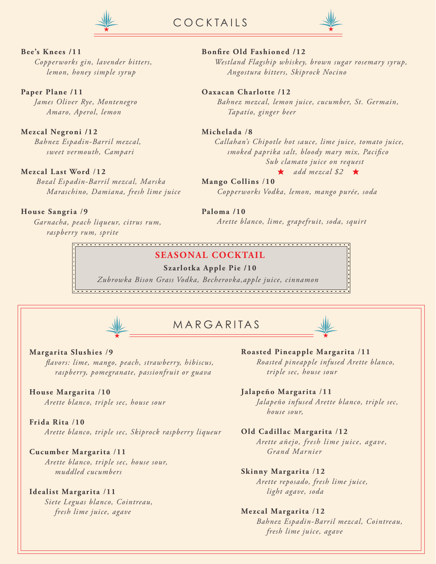

COCKTAILS



#### **Bee's Knees /11**

*Copperworks gin, lavender bitters, lemon, honey simple syrup*

**Paper Plane /11**

*James Oliver Rye, Montenegro Amaro, Aperol, lemon*

#### **Mezcal Negroni /12**

*Bahnez Espadin-Barril mezcal, sweet vermouth, Campari*

#### **Mezcal Last Word** /**12**

 *Bozal Espadin-Barril mezcal, Marska Maraschino, Damiana, fresh lime juice*

#### **House Sangria** /**9**

### *Garnacha, peach liqueur, citrus rum, raspberry rum, sprite*

### **SEASONAL COCKTAIL**

#### **Szarlotka Apple Pie /10**

*Zubrowka Bison Grass Vodka, Becherovka,apple juice, cinnamon*



MARGARITAS



#### **Margarita Slushies** /**9**

 *avors: lime, mango, peach, strawberry, hibiscus, raspberry, pomegranate, passionfruit or guava*

#### **House Margarita** /**10**

*Arette blanco, triple sec, house sour*

#### **Frida Rita** /**10**

 *Arette blanco, triple sec, Skiprock raspberry liqueur*

#### **Cucumber Margarita** /**11**

*Arette blanco, triple sec, house sour, muddled cucumbers*

#### **Idealist Margarita** /**11**

 *Siete Leguas blanco, Cointreau, fresh lime juice, agave*

**Roasted Pineapple Margarita** /**11**  *Roasted pineapple infused Arette blanco, triple sec, house sour*

#### **Jalapeño Margarita** /**11**

 *Jalapeño infused Arette blanco, triple sec, house sour,* 

#### **Old Cadillac Margarita** /**12**

 *Arette añejo, fresh lime juice, agave, Grand Marnier*

#### **Skinny Margarita** /**12**

 *Arette reposado, fresh lime juice, light agave, soda*

#### **Mezcal Margarita** /**12**

 *Bahnez Espadin-Barril mezcal, Cointreau, fresh lime juice, agave* 

#### **Bonre Old Fashioned /12**

*Westland Flagship whiskey, brown sugar rosemary syrup, Angostura bitters, Skiprock Nocino*

#### **Oaxacan Charlotte /12**

 *Bahnez mezcal, lemon juice, cucumber, St. Germain, Tapatío, ginger beer*

#### **Michelada** /**8**

 *Callahan's Chipotle hot sauce, lime juice, tomato juice, smoked paprika salt, bloody mary mix, Pacico Sub clamato juice on request*

#### $\star$  add mezcal \$2  $\star$

**Mango Collins** /**10**  *Copperworks Vodka, lemon, mango purée, soda*

### **Paloma /10**

 *Arette blanco, lime, grapefruit, soda, squirt*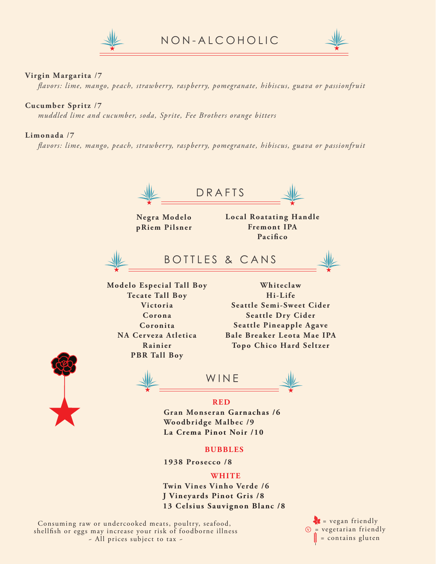



#### **Virgin Margarita** /**7**

 *avors: lime, mango, peach, strawberry, raspberry, pomegranate, hibiscus, guava or passionfruit*

#### **Cucumber Spritz** /**7**

 *muddled lime and cucumber, soda, Sprite, Fee Brothers orange bitters*

#### **Limonada** /**7**

 *avors: lime, mango, peach, strawberry, raspberry, pomegranate, hibiscus, guava or passionfruit*





Consuming raw or undercooked meats, poultry, seafood, shellfish or eggs may increase your risk of foodborne illness ~ All prices subject to tax ~

 $\mathbf{z}$  = vegan friendly = vegetarian friendly **V** = contains gluten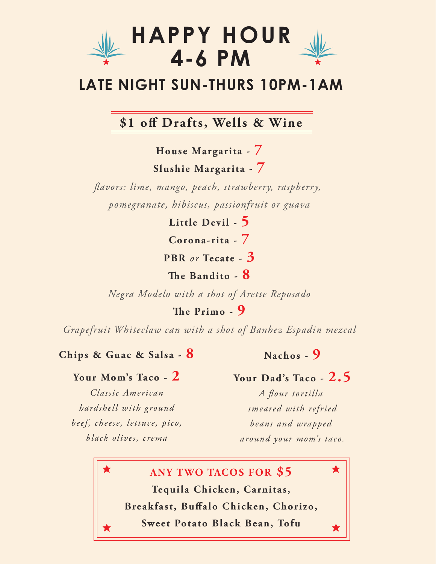

# **LATE NIGHT SUN-THURS 10PM-1AM**

# **\$1 o Drafts, Wells & Wine**

**House Margarita - 7 Slushie Margarita - 7**

*avors: lime, mango, peach, strawberry, raspberry, pomegranate, hibiscus, passionfruit or guava*

**Little Devil - 5**

**Corona-rita - 7**

**PBR** *or* **Tecate - 3**

**e Bandito - 8**

*Negra Modelo with a shot of Arette Reposado*

**e Primo - 9**

*Grapefruit Whiteclaw can with a shot of Banhez Espadin mezcal*

### **Chips & Guac & Salsa - 8**

# **Nachos - 9**

### **Your Mom's Taco - 2**

*Classic American hardshell with ground beef, cheese, lettuce, pico, black olives, crema*

## **Your Dad's Taco - 2.5**

A flour tortilla *smeared with refried beans and wrapped around your mom's taco.*

 $\bigstar$ 

**ANY TWO TACOS FOR \$5 Tequila Chicken, Carnitas,** Breakfast, Buffalo Chicken, Chorizo,

**Sweet Potato Black Bean, Tofu**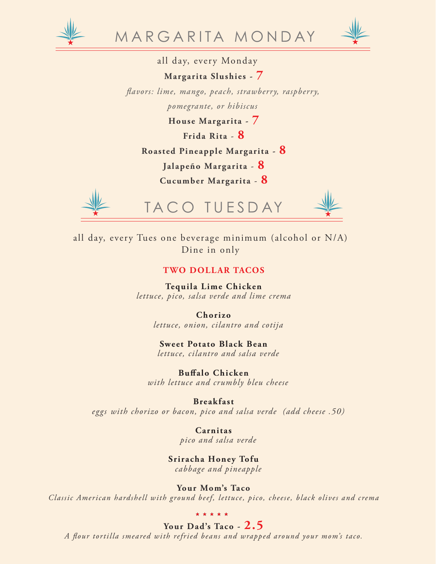



all day, every Monday

**Margarita Slushies - 7**

 *avors: lime, mango, peach, strawberry, raspberry,*

*pomegrante, or hibiscus*

**House Margarita - 7**

**Frida Rita** - **8**

**Roasted Pineapple Margarita - 8**

**Jalapeño Margarita** - **8**

**Cucumber Margarita** - **8**



all day, every Tues one beverage minimum (alcohol or N/A) Dine in only

### **TWO DOLLAR TACOS**

**Tequila Lime Chicken** *lettuce, pico, salsa verde and lime crema*

> **Chorizo** *lettuce, onion, cilantro and cotija*

**Sweet Potato Black Bean** *lettuce, cilantro and salsa verde*

**Buffalo Chicken**  *with lettuce and crumbly bleu cheese*

**Breakfast**

 *eggs with chorizo or bacon, pico and salsa verde (add cheese .50)*

**Carnitas** *pico and salsa verde*

**Sriracha Honey Tofu** *cabbage and pineapple*

**Your Mom's Taco** *Classic American hardshell with ground beef, lettuce, pico, cheese, black olives and crema*

**Your Dad's Taco - 2.5** *A our tortilla smeared with refried beans and wrapped around your mom's taco.*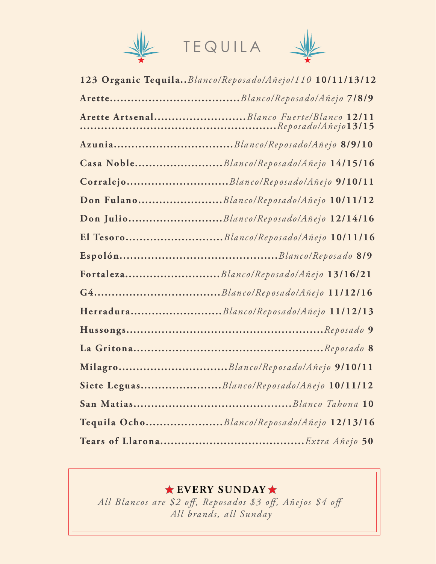

| 123 Organic Tequila Blanco/Reposado/Añejo/110 10/11/13/12 |
|-----------------------------------------------------------|
|                                                           |
|                                                           |
|                                                           |
| Casa NobleBlanco/Reposado/Añejo 14/15/16                  |
| Corralejo <i>Blanco/Reposado/Añejo</i> 9/10/11            |
| Don FulanoBlanco/Reposado/Añejo 10/11/12                  |
|                                                           |
|                                                           |
|                                                           |
| FortalezaBlanco/Reposado/Añejo 13/16/21                   |
|                                                           |
| HerraduraBlanco/Reposado/Añejo 11/12/13                   |
|                                                           |
|                                                           |
| MilagroBlanco/Reposado/Añejo 9/10/11                      |
| Siete LeguasBlanco/Reposado/Añejo 10/11/12                |
|                                                           |
| Tequila OchoBlanco/Reposado/Añejo 12/13/16                |
|                                                           |

# **EVERY SUNDAY**

All Blancos are \$2 off, Reposados \$3 off, Añejos \$4 off *All brands, all Sunday*